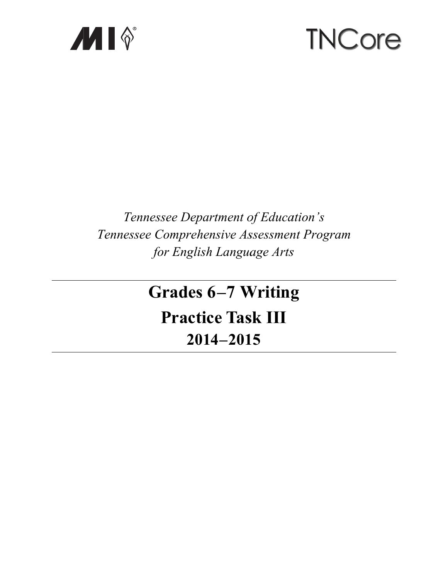

# **TNCore**

### Tennessee Department of Education's Tennessee Comprehensive Assessment Program for English Language Arts

## **Grades 6-7 Writing Practice Task III**  $2014 - 2015$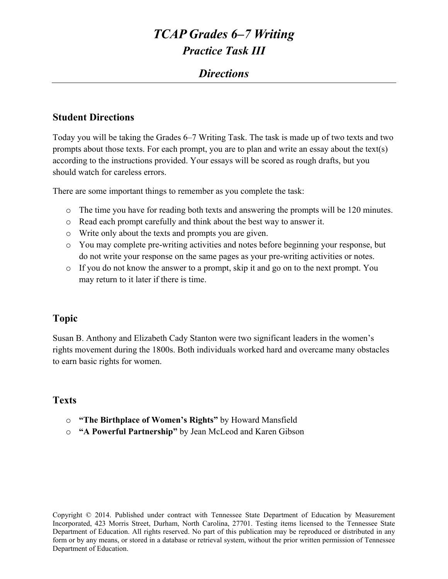### *Directions*

#### **Student Directions**

Today you will be taking the Grades 6–7 Writing Task. The task is made up of two texts and two prompts about those texts. For each prompt, you are to plan and write an essay about the text(s) according to the instructions provided. Your essays will be scored as rough drafts, but you should watch for careless errors.

There are some important things to remember as you complete the task:

- o The time you have for reading both texts and answering the prompts will be 120 minutes.
- o Read each prompt carefully and think about the best way to answer it.
- o Write only about the texts and prompts you are given.
- o You may complete pre-writing activities and notes before beginning your response, but do not write your response on the same pages as your pre-writing activities or notes.
- o If you do not know the answer to a prompt, skip it and go on to the next prompt. You may return to it later if there is time.

#### **Topic**

Susan B. Anthony and Elizabeth Cady Stanton were two significant leaders in the women's rights movement during the 1800s. Both individuals worked hard and overcame many obstacles to earn basic rights for women.

#### **Texts**

- o **"The Birthplace of Women's Rights"** by Howard Mansfield
- o **"A Powerful Partnership"** by Jean McLeod and Karen Gibson

Copyright © 2014. Published under contract with Tennessee State Department of Education by Measurement Incorporated, 423 Morris Street, Durham, North Carolina, 27701. Testing items licensed to the Tennessee State Department of Education. All rights reserved. No part of this publication may be reproduced or distributed in any form or by any means, or stored in a database or retrieval system, without the prior written permission of Tennessee Department of Education.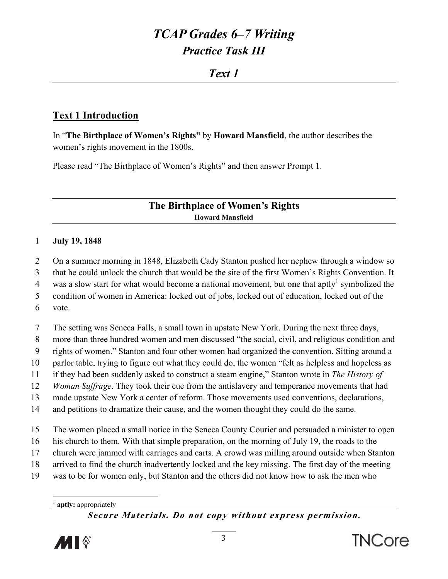### Text 1

#### **Text 1 Introduction**

In "The Birthplace of Women's Rights" by Howard Mansfield, the author describes the women's rights movement in the 1800s.

Please read "The Birthplace of Women's Rights" and then answer Prompt 1.

#### The Birthplace of Women's Rights **Howard Mansfield**

#### $\mathbf{1}$ **July 19, 1848**

- $\overline{2}$ On a summer morning in 1848, Elizabeth Cady Stanton pushed her nephew through a window so
- that he could unlock the church that would be the site of the first Women's Rights Convention. It  $\mathfrak{Z}$
- was a slow start for what would become a national movement, but one that aptly<sup>1</sup> symbolized the  $\overline{4}$
- condition of women in America: locked out of jobs, locked out of education, locked out of the  $5<sup>5</sup>$
- 6 vote.
- $\overline{7}$ The setting was Seneca Falls, a small town in upstate New York. During the next three days,
- 8 more than three hundred women and men discussed "the social, civil, and religious condition and
- 9 rights of women." Stanton and four other women had organized the convention. Sitting around a
- 10 parlor table, trying to figure out what they could do, the women "felt as helpless and hopeless as
- if they had been suddenly asked to construct a steam engine," Stanton wrote in The History of 11
- 12 Woman Suffrage. They took their cue from the antislavery and temperance movements that had
- 13 made upstate New York a center of reform. Those movements used conventions, declarations,
- and petitions to dramatize their cause, and the women thought they could do the same.  $14$
- 15 The women placed a small notice in the Seneca County Courier and persuaded a minister to open
- 16 his church to them. With that simple preparation, on the morning of July 19, the roads to the
- 17 church were jammed with carriages and carts. A crowd was milling around outside when Stanton
- 18 arrived to find the church inadvertently locked and the key missing. The first day of the meeting
- 19 was to be for women only, but Stanton and the others did not know how to ask the men who

Secure Materials. Do not copy without express permission.



aptly: appropriately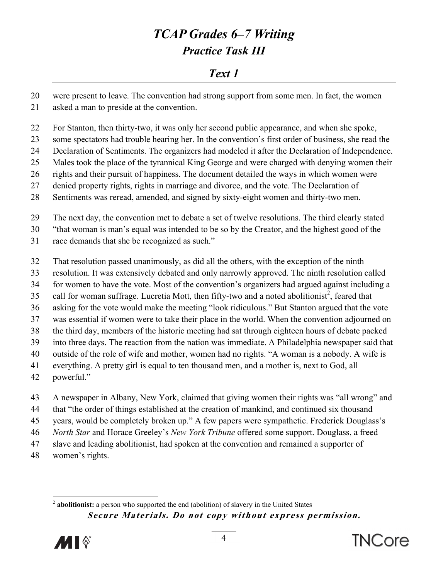### Text 1

were present to leave. The convention had strong support from some men. In fact, the women 20

21 asked a man to preside at the convention.

22 For Stanton, then thirty-two, it was only her second public appearance, and when she spoke,

23 some spectators had trouble hearing her. In the convention's first order of business, she read the

24 Declaration of Sentiments. The organizers had modeled it after the Declaration of Independence. 25 Males took the place of the tyrannical King George and were charged with denying women their

rights and their pursuit of happiness. The document detailed the ways in which women were 26

denied property rights, rights in marriage and divorce, and the vote. The Declaration of 27

28 Sentiments was reread, amended, and signed by sixty-eight women and thirty-two men.

29 The next day, the convention met to debate a set of twelve resolutions. The third clearly stated

30 "that woman is man's equal was intended to be so by the Creator, and the highest good of the

31 race demands that she be recognized as such."

32 That resolution passed unanimously, as did all the others, with the exception of the ninth

- 33 resolution. It was extensively debated and only narrowly approved. The ninth resolution called
- 34 for women to have the vote. Most of the convention's organizers had argued against including a

call for woman suffrage. Lucretia Mott, then fifty-two and a noted abolitionist<sup>2</sup>, feared that 35

36 asking for the vote would make the meeting "look ridiculous." But Stanton argued that the vote

- 37 was essential if women were to take their place in the world. When the convention adjourned on
- 38 the third day, members of the historic meeting had sat through eighteen hours of debate packed
- 39 into three days. The reaction from the nation was immediate. A Philadelphia newspaper said that
- 40 outside of the role of wife and mother, women had no rights. "A woman is a nobody. A wife is
- 41 everything. A pretty girl is equal to ten thousand men, and a mother is, next to God, all
- powerful." 42
- 43 A newspaper in Albany, New York, claimed that giving women their rights was "all wrong" and
- that "the order of things established at the creation of mankind, and continued six thousand 44
- years, would be completely broken up." A few papers were sympathetic. Frederick Douglass's 45
- North Star and Horace Greeley's New York Tribune offered some support. Douglass, a freed 46
- slave and leading abolitionist, had spoken at the convention and remained a supporter of 47
- 48 women's rights.

abolitionist: a person who supported the end (abolition) of slavery in the United States Secure Materials. Do not copy without express permission.

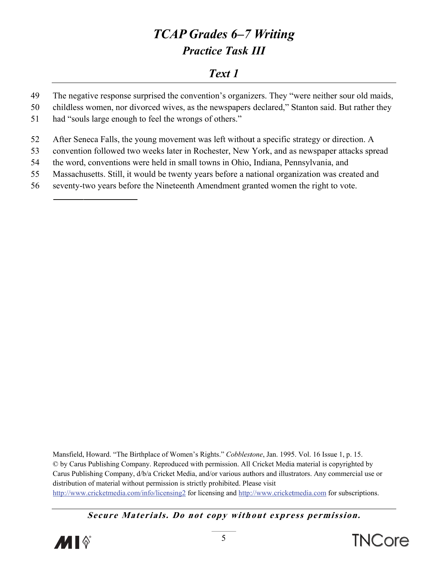### Text 1

- The negative response surprised the convention's organizers. They "were neither sour old maids, 49
- childless women, nor divorced wives, as the newspapers declared," Stanton said. But rather they 50
- 51 had "souls large enough to feel the wrongs of others."
- 52 After Seneca Falls, the young movement was left without a specific strategy or direction. A
- 53 convention followed two weeks later in Rochester, New York, and as newspaper attacks spread
- 54 the word, conventions were held in small towns in Ohio, Indiana, Pennsylvania, and
- 55 Massachusetts. Still, it would be twenty years before a national organization was created and
- seventy-two years before the Nineteenth Amendment granted women the right to vote. 56

Mansfield, Howard. "The Birthplace of Women's Rights." Cobblestone, Jan. 1995. Vol. 16 Issue 1, p. 15. © by Carus Publishing Company. Reproduced with permission. All Cricket Media material is copyrighted by Carus Publishing Company, d/b/a Cricket Media, and/or various authors and illustrators. Any commercial use or distribution of material without permission is strictly prohibited. Please visit http://www.cricketmedia.com/info/licensing2 for licensing and http://www.cricketmedia.com for subscriptions.

Secure Materials. Do not copy without express permission.



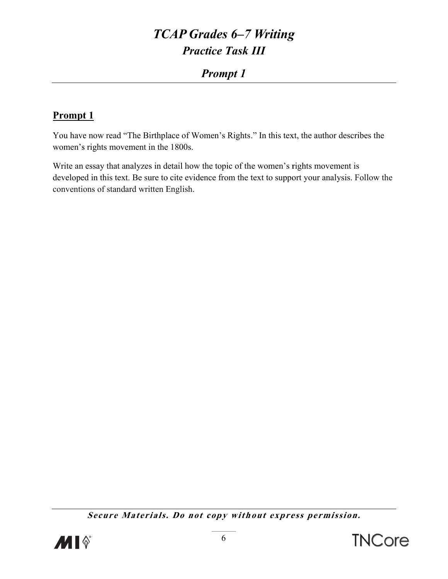### **Prompt 1**

### **Prompt 1**

You have now read "The Birthplace of Women's Rights." In this text, the author describes the women's rights movement in the 1800s.

Write an essay that analyzes in detail how the topic of the women's rights movement is developed in this text. Be sure to cite evidence from the text to support your analysis. Follow the conventions of standard written English.

Secure Materials. Do not copy without express permission.

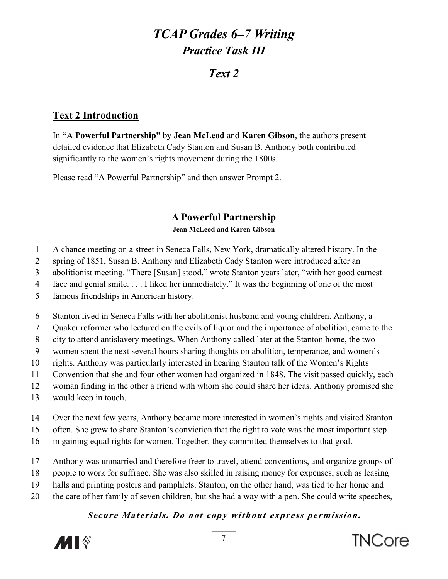#### *Text 2*

#### **Text 2 Introduction**

In "A Powerful Partnership" by Jean McLeod and Karen Gibson, the authors present detailed evidence that Elizabeth Cady Stanton and Susan B. Anthony both contributed significantly to the women's rights movement during the 1800s.

Please read "A Powerful Partnership" and then answer Prompt 2.

A Powerful Partnership **Jean McLeod and Karen Gibson** 

- 1 A chance meeting on a street in Seneca Falls, New York, dramatically altered history. In the
- 2 spring of 1851, Susan B. Anthony and Elizabeth Cady Stanton were introduced after an A chance meeting on a street in Seneca Falls, New York, dramatically altered history. In the spring of 1851, Susan B. Anthony and Elizabeth Cady Stanton were introduced after an abolitionist meeting. "There [Susan] stood,"
- 3
- 4 face and genial smile.... I liked her immediately." It was the beginning of one of the most
- 5 famous friendships in American history.
- 6 Stanton lived in Seneca Falls with her abolitionist husband and young children. Anthony, a
- 7 Quaker reformer who lectured on the evils of liquor and the importance of abolition, came to the
- 8 city to attend antislavery meetings. When Anthony called later at the Stanton home, the two
- 9 women spent the next several hours sharing thoughts on abolition, temperance, and women's
- 10 rights. Anthony was particularly interested in hearing Stanton talk of the Women's Rights
- 11 Convention that she and four other women had organized in 1848. The visit passed quickly, each
- 12 woman finding in the other a friend with whom she could share her ideas. Anthony promised she
- 13 would ke eep in touch.
- 14 would keep in touch.<br>Over the next few years, Anthony became more interested in women's rights and visited Stanton
- 15 often. She grew to share Stanton's conviction that the right to vote was the most important step
- 16 in gaining equal rights for women. Together, they committed themselves to that goal.
- 17 Anthony was unmarried and therefore freer to travel, attend conventions, and organize groups of
- 18 people to work for suffrage. She was also skilled in raising money for expenses, such as leasing
- 19 halls and printing posters and pamphlets. Stanton, on the other hand, was tied to her home and
- 20 the care of her family of seven children, but she had a way with a pen. She could write speeches,

### **Secure M Materials. . Do not c copy with hout expr <sup>e</sup> ess permi ission.**

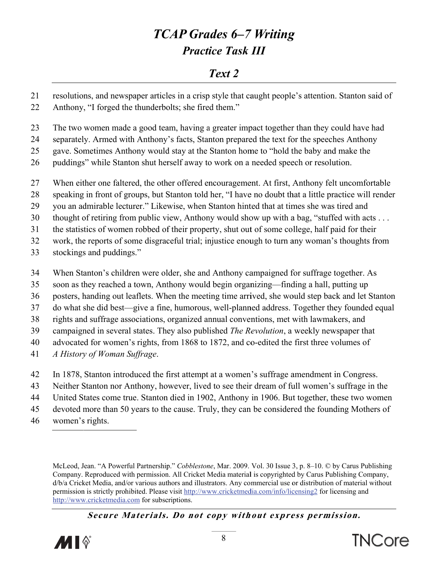### *Text 2*

21 22 resolutions, and newspaper articles in a crisp style that caught people's attention. Stanton said of Anthony, "I forged the thunderbolts; she fired them."

23 The two women made a good team, having a greater impact together than they could have had

24 separately. Armed with Anthony's facts, Stanton prepared the text for the speeches Anthony separately. Armed with Anthony's facts, Stanton prepared the text for the speeches Anthony<br>gave. Sometimes Anthony would stay at the Stanton home to "hold the baby and make the<br>puddings" while Stanton shut herself away to

25 gave. Sometimes Anthony would stay at the Stanton home to "hold the baby and make the

26 puddings" while Stanton shut herself away to work on a needed speech or resolution.

27

28 speaking in front of groups, but Stanton told her, "I have no doubt that a little practice will render

29 you an admirable lecturer." Likewise, when Stanton hinted that at times she was tired and

30 thought of retiring from public view, Anthony would show up with a bag, "stuffed with acts ...

31 the statistics of women robbed of their property, shut out of some college, half paid for their

32 work, the reports of some disgraceful trial; injustice enough to turn any woman's thoughts from

33 stockings and puddings."

34 When Stanton's children were older, she and Anthony campaigned for suffrage together. As

35 soon as they reached a town, Anthony would begin organizing—finding a hall, putting up When Stanton's children were older, she and Anthony campaigned for suffrage together. As<br>soon as they reached a town, Anthony would begin organizing—finding a hall, putting up<br>posters, handing out leaflets. When the meetin

36

37 do what she did best—give a fine, humorous, well-planned address. Together they founded equal

38 rights and suffrage associations, organized annual conventions, met with lawmakers, and

39 campaigned in several states. They also published *The Revolution*, a weekly newspaper that

40 advocated for women's rights, from 1868 to 1872, and co-edited the first three volumes of

41 *A History y of Woman Suffrage*.

42 In 1878, Stanton introduced the first attempt at a women's suffrage amendment in Congress.

43 In 1878, Stanton introduced the first attempt at a women's suffrage amendment in Congress.<br>Neither Stanton nor Anthony, however, lived to see their dream of full women's suffrage in the

44 United States come true. Stanton died in 1902, Anthony in 1906. But together, these two women

45 devoted more than 50 years to the cause. Truly, they can be considered the founding Mothers of

46 women's rights.

> McLeod, Jean. "A Powerful Partnership." *Cobblestone*, Mar. 2009. Vol. 30 Issue 3, p. 8–10. © by Carus Publishing Company. Reproduced with permission. All Cricket Media material is copyrighted by Carus Publishing Company, d/b/a Cricket Media, and/or various authors and illustrators. Any commercial use or distribution of material without permission is strictly prohibited. Please visit http://www.cricketmedia.com/info/licensing2 for licensing and http://www.cricketmedia.com for subscriptions.

> > **Secure M Materials. . Do not c copy with hout expr <sup>e</sup> ess permi ission.**